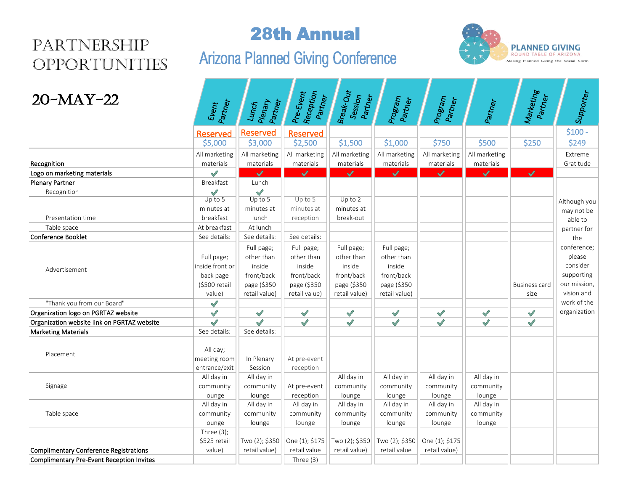## Partnership **OPPORTUNITIES**

## 28th Annual

# Arizona Planned Giving Conference



| $20-MAY-22$                                      | Event<br>Partner                                                                      | Plenary<br>Partner<br>Lunch                                                      | Pre-Event<br>Reception<br>Partner                                                | Break-Out<br>Session<br>Partner                                                  | Program<br>Partner                                                               | Program<br>Partner | Partner       | Marketing<br>Partner  | Supporter                                                                     |
|--------------------------------------------------|---------------------------------------------------------------------------------------|----------------------------------------------------------------------------------|----------------------------------------------------------------------------------|----------------------------------------------------------------------------------|----------------------------------------------------------------------------------|--------------------|---------------|-----------------------|-------------------------------------------------------------------------------|
|                                                  | <b>Reserved</b>                                                                       | Reserved                                                                         | <b>Reserved</b>                                                                  |                                                                                  |                                                                                  |                    |               |                       | $$100 -$                                                                      |
|                                                  | \$5,000                                                                               | \$3,000                                                                          | \$2,500                                                                          | \$1,500                                                                          | \$1,000                                                                          | \$750              | \$500         | \$250                 | \$249                                                                         |
|                                                  | All marketing                                                                         | All marketing                                                                    | All marketing                                                                    | All marketing                                                                    | All marketing                                                                    | All marketing      | All marketing |                       | Extreme                                                                       |
| Recognition                                      | materials                                                                             | materials                                                                        | materials                                                                        | materials                                                                        | materials                                                                        | materials          | materials     |                       | Gratitude                                                                     |
| Logo on marketing materials                      | $\checkmark$                                                                          | ✓                                                                                | $\checkmark$                                                                     | $\checkmark$                                                                     | ✓                                                                                | $\checkmark$       | $\checkmark$  | $\checkmark$          |                                                                               |
| <b>Plenary Partner</b>                           | Breakfast                                                                             | Lunch                                                                            |                                                                                  |                                                                                  |                                                                                  |                    |               |                       |                                                                               |
| Recognition                                      | $\checkmark$                                                                          | $\mathscr{S}$                                                                    |                                                                                  |                                                                                  |                                                                                  |                    |               |                       |                                                                               |
|                                                  | Up to $5$                                                                             | $Up$ to 5                                                                        | Up to $5$                                                                        | Up to $2$                                                                        |                                                                                  |                    |               |                       | Although you                                                                  |
|                                                  | minutes at                                                                            | minutes at                                                                       | minutes at                                                                       | minutes at                                                                       |                                                                                  |                    |               |                       | may not be                                                                    |
| Presentation time                                | breakfast                                                                             | lunch                                                                            | reception                                                                        | break-out                                                                        |                                                                                  |                    |               |                       | able to                                                                       |
| Table space                                      | At breakfast                                                                          | At lunch                                                                         |                                                                                  |                                                                                  |                                                                                  |                    |               |                       | partner for                                                                   |
| <b>Conference Booklet</b>                        | See details:                                                                          | See details:                                                                     | See details:                                                                     |                                                                                  |                                                                                  |                    |               |                       | the<br>conference;                                                            |
| Advertisement<br>"Thank you from our Board"      | Full page;<br>inside front or<br>back page<br>(\$500 retail<br>value)<br>$\checkmark$ | Full page;<br>other than<br>inside<br>front/back<br>page (\$350<br>retail value) | Full page;<br>other than<br>inside<br>front/back<br>page (\$350<br>retail value) | Full page;<br>other than<br>inside<br>front/back<br>page (\$350<br>retail value) | Full page;<br>other than<br>inside<br>front/back<br>page (\$350<br>retail value) |                    |               | Business card<br>size | please<br>consider<br>supporting<br>our mission,<br>vision and<br>work of the |
| Organization logo on PGRTAZ website              | $\checkmark$                                                                          | $\checkmark$                                                                     | $\bigvee$                                                                        | $\bigvee$                                                                        | $\sqrt{}$                                                                        | $\sqrt{}$          | $\sqrt{}$     | $\sqrt{}$             | organization                                                                  |
| Organization website link on PGRTAZ website      | $\checkmark$                                                                          | $\checkmark$                                                                     | $\sqrt{}$                                                                        | $\checkmark$                                                                     | $\checkmark$                                                                     | $\checkmark$       | $\checkmark$  | $\sqrt{}$             |                                                                               |
| <b>Marketing Materials</b>                       | See details:                                                                          | See details:                                                                     |                                                                                  |                                                                                  |                                                                                  |                    |               |                       |                                                                               |
| Placement                                        | All day;<br>meeting room<br>entrance/exit                                             | In Plenary<br>Session                                                            | At pre-event<br>reception                                                        |                                                                                  |                                                                                  |                    |               |                       |                                                                               |
|                                                  | All day in                                                                            | All day in                                                                       |                                                                                  | All day in                                                                       | All day in                                                                       | All day in         | All day in    |                       |                                                                               |
| Signage                                          | community                                                                             | community                                                                        | At pre-event                                                                     | community                                                                        | community                                                                        | community          | community     |                       |                                                                               |
|                                                  | lounge                                                                                | lounge                                                                           | reception                                                                        | lounge                                                                           | lounge                                                                           | lounge             | lounge        |                       |                                                                               |
|                                                  | All day in                                                                            | All day in                                                                       | All day in                                                                       | All day in                                                                       | All day in                                                                       | All day in         | All day in    |                       |                                                                               |
| Table space                                      | community                                                                             | community                                                                        | community                                                                        | community                                                                        | community                                                                        | community          | community     |                       |                                                                               |
|                                                  | lounge                                                                                | lounge                                                                           | lounge                                                                           | lounge                                                                           | lounge                                                                           | lounge             | lounge        |                       |                                                                               |
|                                                  | Three $(3)$ ;                                                                         |                                                                                  |                                                                                  |                                                                                  |                                                                                  |                    |               |                       |                                                                               |
|                                                  | \$525 retail                                                                          | Two (2); \$350                                                                   | One (1); \$175                                                                   | Two (2); \$350                                                                   | Two (2); \$350                                                                   | One (1); \$175     |               |                       |                                                                               |
| <b>Complimentary Conference Registrations</b>    | value)                                                                                | retail value)                                                                    | retail value                                                                     | retail value)                                                                    | retail value                                                                     | retail value)      |               |                       |                                                                               |
| <b>Complimentary Pre-Event Reception Invites</b> |                                                                                       |                                                                                  | Three (3)                                                                        |                                                                                  |                                                                                  |                    |               |                       |                                                                               |